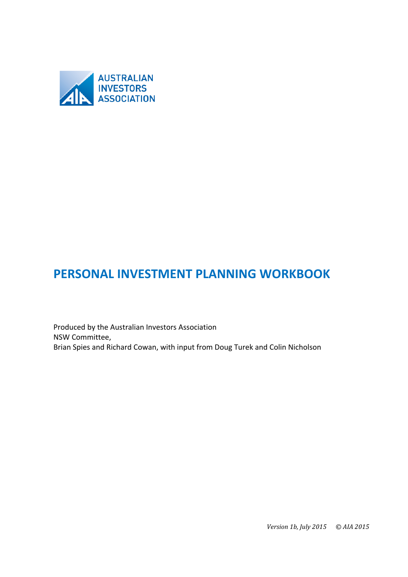

# PERSONAL INVESTMENT PLANNING WORKBOOK

Produced by the Australian Investors Association NSW!Committee, Brian Spies and Richard Cowan, with input from Doug Turek and Colin Nicholson

*Version 1b, July 2015* © AIA 2015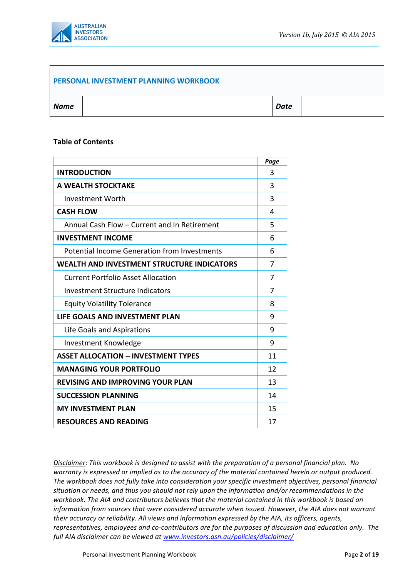

#### **PERSONAL!INVESTMENT!PLANNING!WORKBOOK**

| <b>Name</b> | <b>Date</b> |  |
|-------------|-------------|--|
|             |             |  |

#### **Table of Contents**

|                                                     | Page |
|-----------------------------------------------------|------|
| <b>INTRODUCTION</b>                                 | 3    |
| A WEALTH STOCKTAKE                                  | 3    |
| <b>Investment Worth</b>                             | 3    |
| <b>CASH FLOW</b>                                    | 4    |
| Annual Cash Flow - Current and In Retirement        | 5    |
| <b>INVESTMENT INCOME</b>                            | 6    |
| <b>Potential Income Generation from Investments</b> | 6    |
| <b>WEALTH AND INVESTMENT STRUCTURE INDICATORS</b>   | 7    |
| <b>Current Portfolio Asset Allocation</b>           | 7    |
| <b>Investment Structure Indicators</b>              | 7    |
| <b>Equity Volatility Tolerance</b>                  | 8    |
| LIFE GOALS AND INVESTMENT PLAN                      | 9    |
| Life Goals and Aspirations                          | 9    |
| Investment Knowledge                                | 9    |
| <b>ASSET ALLOCATION - INVESTMENT TYPES</b>          | 11   |
| <b>MANAGING YOUR PORTFOLIO</b>                      | 12   |
| <b>REVISING AND IMPROVING YOUR PLAN</b>             |      |
| <b>SUCCESSION PLANNING</b>                          |      |
| <b>MY INVESTMENT PLAN</b>                           | 15   |
| <b>RESOURCES AND READING</b>                        | 17   |

*Disclaimer: This workbook is designed to assist with the preparation of a personal financial plan. No* warranty is expressed or implied as to the accuracy of the material contained herein or output produced. The workbook does not fully take into consideration your specific investment objectives, personal financial situation or needs, and thus you should not rely upon the information and/or recommendations in the workbook. The AIA and contributors believes that the material contained in this workbook is based on *information+from+sources+that+were+considered accurate+when+issued.+However,+the+AIA+does+not+warrant+ their accuracy* or *reliability. All views and information expressed by the AIA, its officers, agents, representatives, employees and co-contributors are for the purposes of discussion and education only. The full+AIA+disclaimer+can+be+viewed+at+www.investors.asn.au/policies/disclaimer/++*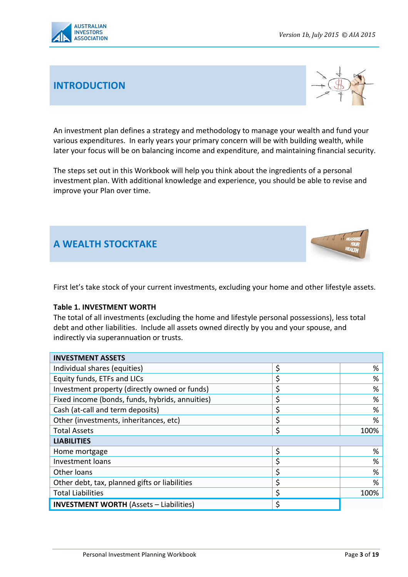

# **INTRODUCTION**



An investment plan defines a strategy and methodology to manage your wealth and fund your various expenditures. In early years your primary concern will be with building wealth, while later your focus will be on balancing income and expenditure, and maintaining financial security.

The steps set out in this Workbook will help you think about the ingredients of a personal investment plan. With additional knowledge and experience, you should be able to revise and improve your Plan over time.

# **A!WEALTH!STOCKTAKE**



#### **Table 1. INVESTMENT WORTH**

The total of all investments (excluding the home and lifestyle personal possessions), less total debt and other liabilities. Include all assets owned directly by you and your spouse, and indirectly via superannuation or trusts.

| <b>INVESTMENT ASSETS</b>                        |            |
|-------------------------------------------------|------------|
| Individual shares (equities)                    | \$<br>%    |
| Equity funds, ETFs and LICs                     | \$<br>%    |
| Investment property (directly owned or funds)   | %          |
| Fixed income (bonds, funds, hybrids, annuities) | \$<br>%    |
| Cash (at-call and term deposits)                | %          |
| Other (investments, inheritances, etc)          | %          |
| <b>Total Assets</b>                             | \$<br>100% |
| <b>LIABILITIES</b>                              |            |
| Home mortgage                                   | \$<br>%    |
| Investment loans                                | %          |
| Other loans                                     | %          |
| Other debt, tax, planned gifts or liabilities   | %          |
| <b>Total Liabilities</b>                        | \$<br>100% |
| <b>INVESTMENT WORTH (Assets - Liabilities)</b>  |            |

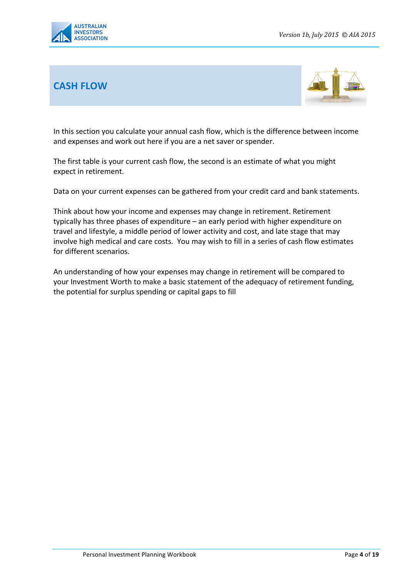

### **CASH!FLOW**



In this section you calculate your annual cash flow, which is the difference between income and expenses and work out here if you are a net saver or spender.

The first table is your current cash flow, the second is an estimate of what you might expect in retirement.

Data on your current expenses can be gathered from your credit card and bank statements.

Think about how your income and expenses may change in retirement. Retirement typically has three phases of expenditure – an early period with higher expenditure on travel and lifestyle, a middle period of lower activity and cost, and late stage that may involve high medical and care costs. You may wish to fill in a series of cash flow estimates for different scenarios.

An understanding of how your expenses may change in retirement will be compared to your Investment Worth to make a basic statement of the adequacy of retirement funding, the potential for surplus spending or capital gaps to fill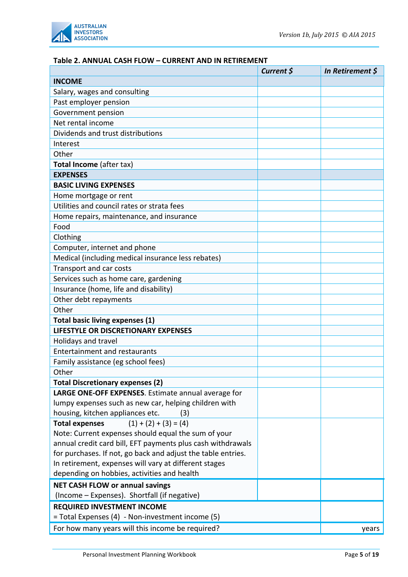

#### **Table!2.!ANNUAL CASH!FLOW – CURRENT!AND!IN!RETIREMENT**

| Current \$ | In Retirement $\oint$ |
|------------|-----------------------|
|            |                       |
|            |                       |
|            |                       |
|            |                       |
|            |                       |
|            |                       |
|            |                       |
|            |                       |
|            |                       |
|            |                       |
|            |                       |
|            |                       |
|            |                       |
|            |                       |
|            |                       |
|            |                       |
|            |                       |
|            |                       |
|            |                       |
|            |                       |
|            |                       |
|            |                       |
|            |                       |
|            |                       |
|            |                       |
|            |                       |
|            |                       |
|            |                       |
|            |                       |
|            |                       |
|            |                       |
|            |                       |
|            |                       |
|            |                       |
|            |                       |
|            |                       |
|            |                       |
|            |                       |
|            |                       |
|            |                       |
|            |                       |
|            |                       |
|            |                       |
|            |                       |
|            |                       |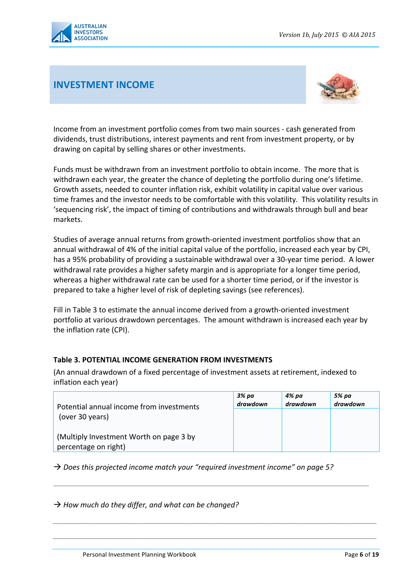

## **INVESTMENT!INCOME**



Income from an investment portfolio comes from two main sources - cash generated from dividends, trust distributions, interest payments and rent from investment property, or by drawing on capital by selling shares or other investments.

Funds must be withdrawn from an investment portfolio to obtain income. The more that is withdrawn each year, the greater the chance of depleting the portfolio during one's lifetime. Growth assets, needed to counter inflation risk, exhibit volatility in capital value over various time frames and the investor needs to be comfortable with this volatility. This volatility results in 'sequencing risk', the impact of timing of contributions and withdrawals through bull and bear markets.

Studies of average annual returns from growth-oriented investment portfolios show that an annual withdrawal of 4% of the initial capital value of the portfolio, increased each year by CPI, has a 95% probability of providing a sustainable withdrawal over a 30-year time period. A lower withdrawal rate provides a higher safety margin and is appropriate for a longer time period, whereas a higher withdrawal rate can be used for a shorter time period, or if the investor is prepared to take a higher level of risk of depleting savings (see references).

Fill in Table 3 to estimate the annual income derived from a growth-oriented investment portfolio at various drawdown percentages. The amount withdrawn is increased each year by the inflation rate (CPI).

### Table **3. POTENTIAL INCOME GENERATION FROM INVESTMENTS**

(An annual drawdown of a fixed percentage of investment assets at retirement, indexed to inflation each year)

| Potential annual income from investments                        | 3% pa<br>drawdown | 4% pa<br>drawdown | 5% pa<br>drawdown |
|-----------------------------------------------------------------|-------------------|-------------------|-------------------|
| (over 30 years)                                                 |                   |                   |                   |
| (Multiply Investment Worth on page 3 by<br>percentage on right) |                   |                   |                   |

\_\_\_\_\_\_\_\_\_\_\_\_\_\_\_\_\_\_\_\_\_\_\_\_\_\_\_\_\_\_\_\_\_\_\_\_\_\_\_\_\_\_\_\_\_\_\_\_\_\_\_\_\_\_\_\_\_\_\_\_\_\_\_\_\_\_\_\_\_\_\_\_\_\_\_\_\_

*\_\_\_\_\_\_\_\_\_\_\_\_\_\_\_\_\_\_\_\_\_\_\_\_\_\_\_\_\_\_\_\_\_\_\_\_\_\_\_\_\_\_\_\_\_\_\_\_\_\_\_\_\_\_\_\_\_\_\_\_\_\_\_\_\_\_\_\_\_\_\_\_\_\_\_\_\_\_\_*

*\_\_\_\_\_\_\_\_\_\_\_\_\_\_\_\_\_\_\_\_\_\_\_\_\_\_\_\_\_\_\_\_\_\_\_\_\_\_\_\_\_\_\_\_\_\_\_\_\_\_\_\_\_\_\_\_\_\_\_\_\_\_\_\_\_\_\_\_\_\_\_\_\_\_\_\_\_\_\_*

 $\rightarrow$  Does this projected income match your "required investment income" on page 5?

 $\rightarrow$  How much do they differ, and what can be changed?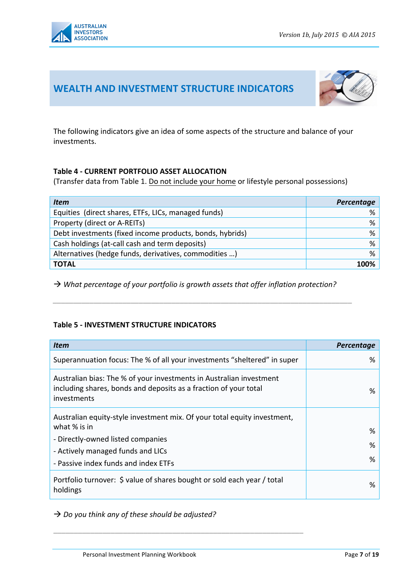

### WEALTH AND INVESTMENT STRUCTURE INDICATORS



The following indicators give an idea of some aspects of the structure and balance of your investments.

### **Table 4 - CURRENT PORTFOLIO ASSET ALLOCATION**

(Transfer data from Table 1. Do not include your home or lifestyle personal possessions)

| Item                                                     | Percentage |
|----------------------------------------------------------|------------|
| Equities (direct shares, ETFs, LICs, managed funds)      | %          |
| Property (direct or A-REITs)                             | %          |
| Debt investments (fixed income products, bonds, hybrids) | %          |
| Cash holdings (at-call cash and term deposits)           | %          |
| Alternatives (hedge funds, derivatives, commodities )    | %          |
| <b>TOTAL</b>                                             | 100%       |

 $\rightarrow$  What percentage of your portfolio is growth assets that offer inflation protection?

*\_\_\_\_\_\_\_\_\_\_\_\_\_\_\_\_\_\_\_\_\_\_\_\_\_\_\_\_\_\_\_\_\_\_\_\_\_\_\_\_\_\_\_\_\_\_\_\_\_\_\_\_\_\_\_\_\_\_\_\_\_\_\_\_\_\_\_\_\_\_\_\_\_*

### **Table 5 - INVESTMENT STRUCTURE INDICATORS**

| <b>Item</b>                                                                                                                                            | Percentage |
|--------------------------------------------------------------------------------------------------------------------------------------------------------|------------|
| Superannuation focus: The % of all your investments "sheltered" in super                                                                               | %          |
| Australian bias: The % of your investments in Australian investment<br>including shares, bonds and deposits as a fraction of your total<br>investments | %          |
| Australian equity-style investment mix. Of your total equity investment,                                                                               |            |
| what % is in                                                                                                                                           | %          |
| - Directly-owned listed companies                                                                                                                      | %          |
| - Actively managed funds and LICs                                                                                                                      |            |
| - Passive index funds and index ETFs                                                                                                                   | %          |
| Portfolio turnover: \$ value of shares bought or sold each year / total<br>holdings                                                                    | ℅          |

 $\rightarrow$  Do you think any of these should be adjusted?

\_\_\_\_\_\_\_\_\_\_\_\_\_\_\_\_\_\_\_\_\_\_\_\_\_\_\_\_\_\_\_\_\_\_\_\_\_\_\_\_\_\_\_\_\_\_\_\_\_\_\_\_\_\_\_\_\_\_\_\_\_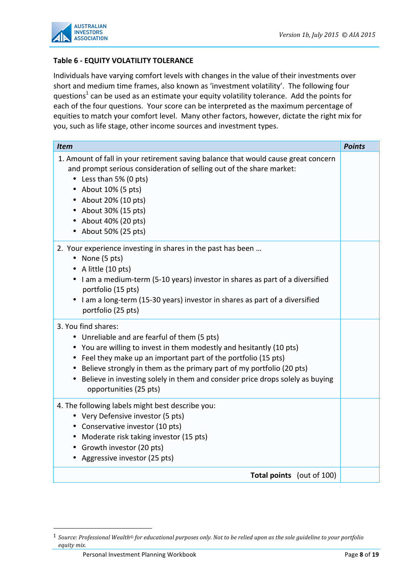

### **Table 6 - EQUITY VOLATILITY TOLERANCE**

Individuals have varying comfort levels with changes in the value of their investments over short and medium time frames, also known as 'investment volatility'. The following four questions<sup>1</sup> can be used as an estimate your equity volatility tolerance. Add the points for each of the four questions. Your score can be interpreted as the maximum percentage of equities to match your comfort level. Many other factors, however, dictate the right mix for you, such as life stage, other income sources and investment types.

| <b>Item</b>                                                                                                                                                                                                                                                                                                                                                                                            | <b>Points</b> |
|--------------------------------------------------------------------------------------------------------------------------------------------------------------------------------------------------------------------------------------------------------------------------------------------------------------------------------------------------------------------------------------------------------|---------------|
| 1. Amount of fall in your retirement saving balance that would cause great concern<br>and prompt serious consideration of selling out of the share market:<br>• Less than 5% (0 pts)<br>• About 10% (5 pts)<br>• About 20% (10 pts)<br>• About 30% (15 pts)<br>• About 40% (20 pts)<br>• About 50% (25 pts)                                                                                            |               |
| 2. Your experience investing in shares in the past has been<br>• None (5 pts)<br>• A little (10 pts)<br>• I am a medium-term (5-10 years) investor in shares as part of a diversified<br>portfolio (15 pts)<br>• I am a long-term (15-30 years) investor in shares as part of a diversified<br>portfolio (25 pts)                                                                                      |               |
| 3. You find shares:<br>• Unreliable and are fearful of them (5 pts)<br>• You are willing to invest in them modestly and hesitantly (10 pts)<br>• Feel they make up an important part of the portfolio (15 pts)<br>• Believe strongly in them as the primary part of my portfolio (20 pts)<br>• Believe in investing solely in them and consider price drops solely as buying<br>opportunities (25 pts) |               |
| 4. The following labels might best describe you:<br>• Very Defensive investor (5 pts)<br>• Conservative investor (10 pts)<br>• Moderate risk taking investor (15 pts)<br>• Growth investor (20 pts)<br>• Aggressive investor (25 pts)                                                                                                                                                                  |               |
| <b>Total points</b> (out of 100)                                                                                                                                                                                                                                                                                                                                                                       |               |

!!!!!!!!!!!!!!!!!!!!!!!!!!!!!!!!!!!!!!!!!!!!!!!!!!!!!!!

<sup>&</sup>lt;sup>1</sup> Source: Professional Wealth© for educational purposes only. Not to be relied upon as the sole guideline to your portfolio  $equity$ *mix.*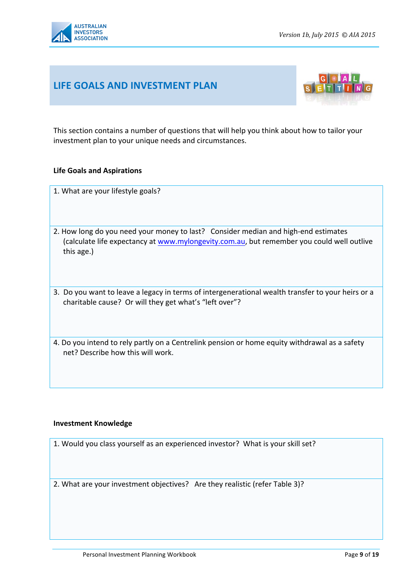

### **LIFE!GOALS AND!INVESTMENT!PLAN**



This section contains a number of questions that will help you think about how to tailor your investment plan to your unique needs and circumstances.

#### **Life Goals and Aspirations**

- 1. What are your lifestyle goals?
- 2. How long do you need your money to last? Consider median and high-end estimates (calculate life expectancy at www.mylongevity.com.au, but remember you could well outlive this age.)
- 3. Do you want to leave a legacy in terms of intergenerational wealth transfer to your heirs or a charitable cause? Or will they get what's "left over"?
- 4. Do you intend to rely partly on a Centrelink pension or home equity withdrawal as a safety net? Describe how this will work.

#### **Investment!Knowledge**

1. Would you class yourself as an experienced investor? What is your skill set?

2. What are your investment objectives? Are they realistic (refer Table 3)?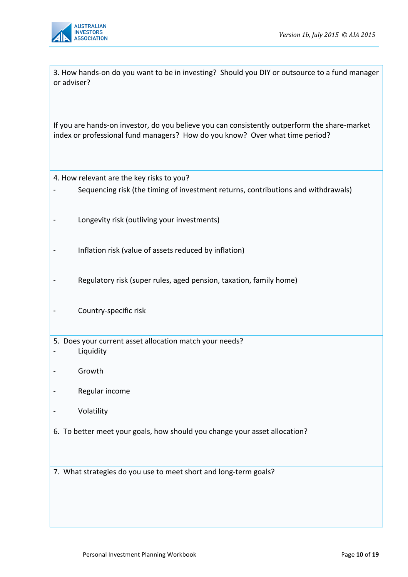

3. How hands-on do you want to be in investing? Should you DIY or outsource to a fund manager or adviser?

If you are hands-on investor, do you believe you can consistently outperform the share-market index or professional fund managers? How do you know? Over what time period?

4. How relevant are the key risks to you?

- Sequencing risk (the timing of investment returns, contributions and withdrawals)
- Longevity risk (outliving your investments)
- Inflation risk (value of assets reduced by inflation)
- Regulatory risk (super rules, aged pension, taxation, family home)
- Country-specific risk
- 5. Does your current asset allocation match your needs?
- Liquidity
- Growth
- Regular income
- Volatility
- 6. To better meet your goals, how should you change your asset allocation?

7. What strategies do you use to meet short and long-term goals?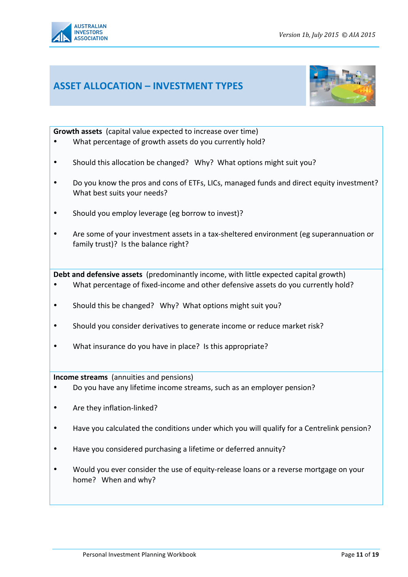

### **ASSET!ALLOCATION!– INVESTMENT!TYPES**



**Growth assets** (capital value expected to increase over time)

- What percentage of growth assets do you currently hold?
- Should this allocation be changed? Why? What options might suit you?
- Do you know the pros and cons of ETFs, LICs, managed funds and direct equity investment? What best suits your needs?
- Should you employ leverage (eg borrow to invest)?
- Are some of your investment assets in a tax-sheltered environment (eg superannuation or family trust)? Is the balance right?

**Debt and defensive assets** (predominantly income, with little expected capital growth)

- What percentage of fixed-income and other defensive assets do you currently hold?
- Should this be changed? Why? What options might suit you?
- Should you consider derivatives to generate income or reduce market risk?
- What insurance do you have in place? Is this appropriate?

**Income streams** (annuities and pensions)

- Do you have any lifetime income streams, such as an employer pension?
- Are they inflation-linked?
- Have you calculated the conditions under which you will qualify for a Centrelink pension?
- Have you considered purchasing a lifetime or deferred annuity?
- Would you ever consider the use of equity-release loans or a reverse mortgage on your home? When and why?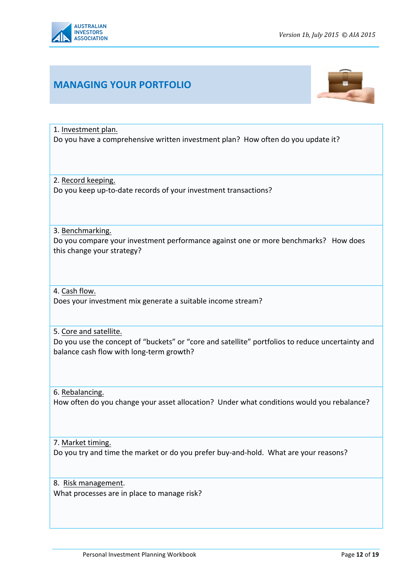

# **MANAGING!YOUR!PORTFOLIO**



1. Investment plan. Do you have a comprehensive written investment plan? How often do you update it?

2. Record keeping. Do you keep up-to-date records of your investment transactions?

3. Benchmarking.

Do you compare your investment performance against one or more benchmarks? How does this change your strategy?

4. Cash flow.

Does your investment mix generate a suitable income stream?

5. Core and satellite.

Do you use the concept of "buckets" or "core and satellite" portfolios to reduce uncertainty and balance cash flow with long-term growth?

6. Rebalancing. How often do you change your asset allocation? Under what conditions would you rebalance?

7. Market timing. Do you try and time the market or do you prefer buy-and-hold. What are your reasons?

8. Risk management. What processes are in place to manage risk?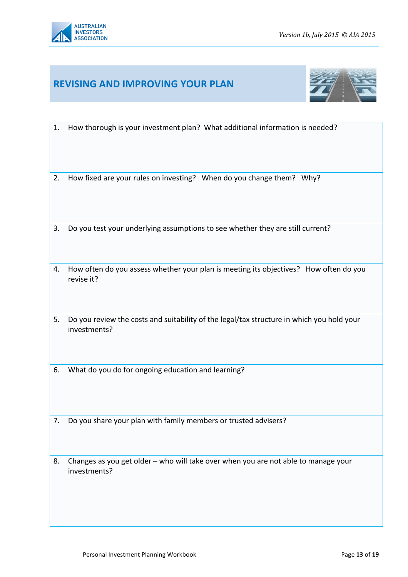

### **REVISING!AND!IMPROVING!YOUR!PLAN**



- 1. How thorough is your investment plan? What additional information is needed?
- 2. How fixed are your rules on investing? When do you change them? Why?
- 3. Do you test your underlying assumptions to see whether they are still current?
- 4. How often do you assess whether your plan is meeting its objectives? How often do you revise it?
- 5. Do you review the costs and suitability of the legal/tax structure in which you hold your investments?
- 6. What do you do for ongoing education and learning?
- 7. Do you share your plan with family members or trusted advisers?
- 8. Changes as you get older who will take over when you are not able to manage your investments?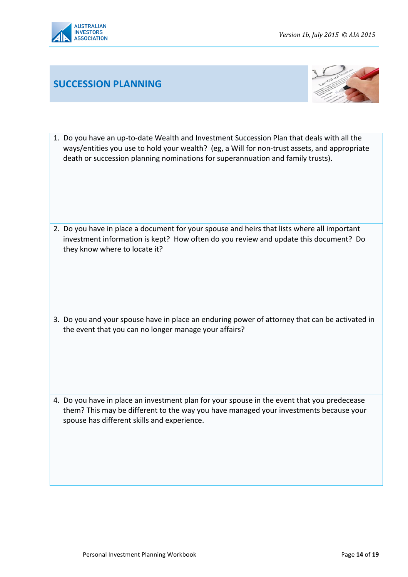

# **SUCCESSION!PLANNING**



1. Do you have an up-to-date Wealth and Investment Succession Plan that deals with all the ways/entities you use to hold your wealth? (eg, a Will for non-trust assets, and appropriate death or succession planning nominations for superannuation and family trusts).

2. Do you have in place a document for your spouse and heirs that lists where all important investment information is kept? How often do you review and update this document? Do they know where to locate it?

3. Do you and your spouse have in place an enduring power of attorney that can be activated in the event that you can no longer manage your affairs?

4. Do you have in place an investment plan for your spouse in the event that you predecease them? This may be different to the way you have managed your investments because your spouse has different skills and experience.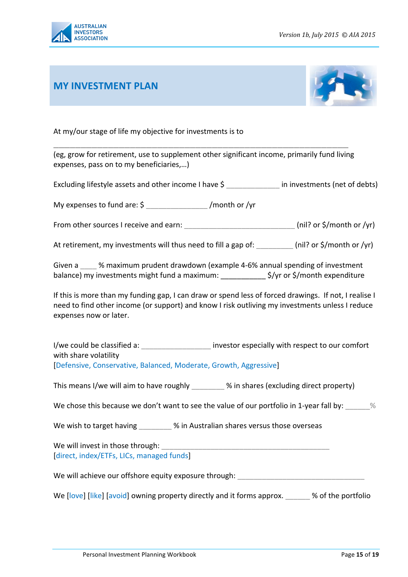

### **MY!INVESTMENT!PLAN**



At my/our stage of life my objective for investments is to

(eg, grow for retirement, use to supplement other significant income, primarily fund living expenses, pass on to my beneficiaries,...)

\_\_\_\_\_\_\_\_\_\_\_\_\_\_\_\_\_\_\_\_\_\_\_\_\_\_\_\_\_\_\_\_\_\_\_\_\_\_\_\_\_\_\_\_\_\_\_\_\_\_\_\_\_\_!!

Excluding lifestyle assets and other income I have \$ [100] in investments (net of debts)

My expenses to fund are:  $\sin \theta$  /month or /yr

From other sources I receive and earn: \_\_\_\_\_\_\_\_\_\_\_\_\_\_\_\_\_\_\_\_\_\_\_\_\_\_\_\_\_(nil? or \$/month or /yr)

At retirement, my investments will thus need to fill a gap of: [nil? or \$/month or /yr)

Given a www. % maximum prudent drawdown (example 4-6% annual spending of investment balance) my investments might fund a maximum: \_\_\_\_\_\_\_\_\_\_\_\_\_\_\$/yr or \$/month expenditure

If this is more than my funding gap, I can draw or spend less of forced drawings. If not, I realise I need to find other income (or support) and know I risk outliving my investments unless I reduce expenses now or later.

I/we could be classified a:  $\blacksquare$  investor especially with respect to our comfort with share volatility

[Defensive, Conservative, Balanced, Moderate, Growth, Aggressive]

This means I/we will aim to have roughly **2008** % in shares (excluding direct property)

We chose this because we don't want to see the value of our portfolio in 1-year fall by:  $\%$ 

We wish to target having \_\_\_\_\_\_\_\_ % in Australian shares versus those overseas

We will invest in those through: [direct, index/ETFs, LICs, managed funds]

We will achieve our offshore equity exposure through:

We [love] [like] [avoid] owning property directly and it forms approx. \_\_\_\_\_ % of the portfolio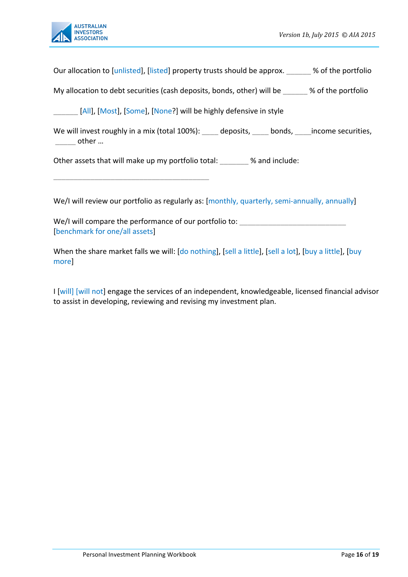

Our allocation to [unlisted], [listed] property trusts should be approx.  $\frac{1}{2}$  % of the portfolio

My allocation to debt securities (cash deposits, bonds, other) will be  $\sim$  % of the portfolio

[All], [Most], [Some], [None?] will be highly defensive in style

We will invest roughly in a mix (total 100%): deposits, bonds, income securities,  $other...$ 

Other assets that will make up my portfolio total: \_\_\_\_\_ % and include:

\_\_\_\_\_\_\_\_\_\_\_\_\_\_\_\_\_\_\_\_\_\_\_\_\_\_\_\_\_\_\_\_\_\_\_\_\_\_

We/I will review our portfolio as regularly as: [monthly, quarterly, semi-annually, annually]

We/I will compare the performance of our portfolio to: [benchmark for one/all assets]

When the share market falls we will: [do nothing], [sell a little], [sell a lot], [buy a little], [buy more]

I [will] [will not] engage the services of an independent, knowledgeable, licensed financial advisor to assist in developing, reviewing and revising my investment plan.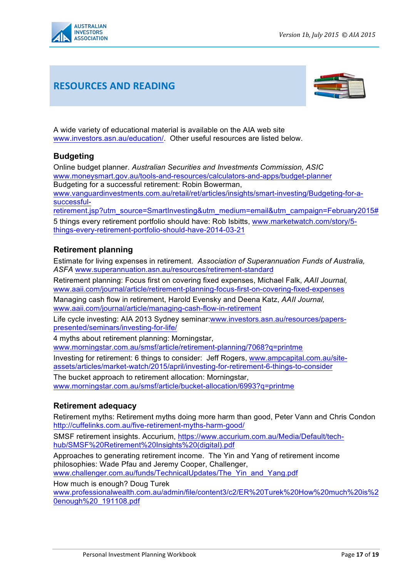

## **RESOURCES!AND!READING**



A wide variety of educational material is available on the AIA web site www.investors.asn.au/education/. Other useful resources are listed below.

### **Budgeting**

Online budget planner. *Australian Securities and Investments Commission, ASIC*  www.moneysmart.gov.au/tools-and-resources/calculators-and-apps/budget-planner Budgeting for a successful retirement: Robin Bowerman,

www.vanguardinvestments.com.au/retail/ret/articles/insights/smart-investing/Budgeting-for-asuccessful-

retirement.jsp?utm\_source=SmartInvesting&utm\_medium=email&utm\_campaign=February2015#

5 things every retirement portfolio should have: Rob Isbitts, www.marketwatch.com/story/5 things-every-retirement-portfolio-should-have-2014-03-21

#### **Retirement planning**

Estimate for living expenses in retirement. *Association of Superannuation Funds of Australia, ASFA* www.superannuation.asn.au/resources/retirement-standard

Retirement planning: Focus first on covering fixed expenses, Michael Falk, *AAII Journal,* www.aaii.com/journal/article/retirement-planning-focus-first-on-covering-fixed-expenses Managing cash flow in retirement, Harold Evensky and Deena Katz, *AAII Journal,*  www.aaii.com/journal/article/managing-cash-flow-in-retirement

Life cycle investing: AIA 2013 Sydney seminar:www.investors.asn.au/resources/paperspresented/seminars/investing-for-life/

4 myths about retirement planning: Morningstar,

www.morningstar.com.au/smsf/article/retirement-planning/7068?q=printme

Investing for retirement: 6 things to consider: Jeff Rogers, www.ampcapital.com.au/siteassets/articles/market-watch/2015/april/investing-for-retirement-6-things-to-consider

The bucket approach to retirement allocation: Morningstar, www.morningstar.com.au/smsf/article/bucket-allocation/6993?q=printme

#### **Retirement adequacy**

Retirement myths: Retirement myths doing more harm than good, Peter Vann and Chris Condon http://cuffelinks.com.au/five-retirement-myths-harm-good/

SMSF retirement insights. Accurium, https://www.accurium.com.au/Media/Default/techhub/SMSF%20Retirement%20Insights%20(digital).pdf

Approaches to generating retirement income. The Yin and Yang of retirement income philosophies: Wade Pfau and Jeremy Cooper, Challenger, www.challenger.com.au/funds/TechnicalUpdates/The\_Yin\_and\_Yang.pdf

How much is enough? Doug Turek

www.professionalwealth.com.au/admin/file/content3/c2/ER%20Turek%20How%20much%20is%2 0enough%20\_191108.pdf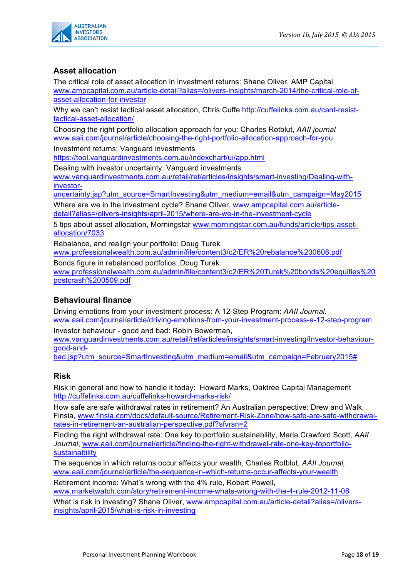

### **Asset allocation**

The critical role of asset allocation in investment returns: Shane Oliver, AMP Capital www.ampcapital.com.au/article-detail?alias=/olivers-insights/march-2014/the-critical-role-ofasset-allocation-for-investor

Why we can't resist tactical asset allocation, Chris Cuffe http://cuffelinks.com.au/cant-resisttactical-asset-allocation/

Choosing the right portfolio allocation approach for you: Charles Rotblut, *AAII journal*  www.aaii.com/journal/article/choosing-the-right-portfolio-allocation-approach-for-you

Investment returns: Vanguard investments https://tool.vanguardinvestments.com.au/indexchart/ui/app.html

Dealing with investor uncertainty: Vanguard investments www.vanguardinvestments.com.au/retail/ret/articles/insights/smart-investing/Dealing-withinvestor-

uncertainty.jsp?utm\_source=SmartInvesting&utm\_medium=email&utm\_campaign=May2015

Where are we in the investment cycle? Shane Oliver, www.ampcapital.com.au/articledetail?alias=/olivers-insights/april-2015/where-are-we-in-the-investment-cycle

5 tips about asset allocation, Morningstar www.morningstar.com.au/funds/article/tips-assetallocation/7033

Rebalance, and realign your portfolio: Doug Turek www.professionalwealth.com.au/admin/file/content3/c2/ER%20rebalance%200608.pdf

Bonds figure in rebalanced portfolios: Doug Turek www.professionalwealth.com.au/admin/file/content3/c2/ER%20Turek%20bonds%20equities%20 postcrash%200509.pdf

#### **Behavioural finance**

Driving emotions from your investment process: A 12-Step Program: *AAII Journal.*  www.aaii.com/journal/article/driving-emotions-from-your-investment-process-a-12-step-program

Investor behaviour - good and bad: Robin Bowerman, www.vanguardinvestments.com.au/retail/ret/articles/insights/smart-investing/Investor-behaviour-

good-and-

bad.jsp?utm\_source=SmartInvesting&utm\_medium=email&utm\_campaign=February2015#

#### **Risk**

Risk in general and how to handle it today: Howard Marks, Oaktree Capital Management http://cuffelinks.com.au/cuffelinks-howard-marks-risk/

How safe are safe withdrawal rates in retirement? An Australian perspective: Drew and Walk, Finsia, www.finsia.com/docs/default-source/Retirement-Risk-Zone/how-safe-are-safe-withdrawalrates-in-retirement-an-australian-perspective.pdf?sfvrsn=2

Finding the right withdrawal rate: One key to portfolio sustainability, Maria Crawford Scott, *AAII Journal*, www.aaii.com/journal/article/finding-the-right-withdrawal-rate-one-key-toportfoliosustainability

The sequence in which returns occur affects your wealth, Charles Rotblut, *AAII Journal,* www.aaii.com/journal/article/the-sequence-in-which-returns-occur-affects-your-wealth

Retirement income: What's wrong with the 4% rule, Robert Powell, www.marketwatch.com/story/retirement-income-whats-wrong-with-the-4-rule-2012-11-08

What is risk in investing? Shane Oliver, www.ampcapital.com.au/article-detail?alias=/oliversinsights/april-2015/what-is-risk-in-investing